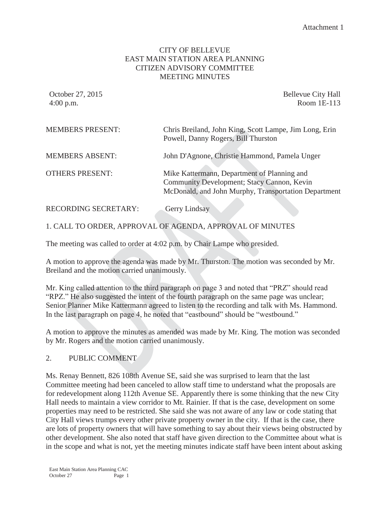### CITY OF BELLEVUE EAST MAIN STATION AREA PLANNING CITIZEN ADVISORY COMMITTEE MEETING MINUTES

October 27, 2015 **Bellevue City Hall** 4:00 p.m. Room 1E-113

| <b>MEMBERS PRESENT:</b>     | Chris Breiland, John King, Scott Lampe, Jim Long, Erin<br>Powell, Danny Rogers, Bill Thurston                                                     |
|-----------------------------|---------------------------------------------------------------------------------------------------------------------------------------------------|
| <b>MEMBERS ABSENT:</b>      | John D'Agnone, Christie Hammond, Pamela Unger                                                                                                     |
| <b>OTHERS PRESENT:</b>      | Mike Kattermann, Department of Planning and<br>Community Development; Stacy Cannon, Kevin<br>McDonald, and John Murphy, Transportation Department |
| <b>RECORDING SECRETARY:</b> | <b>Gerry Lindsay</b>                                                                                                                              |

1. CALL TO ORDER, APPROVAL OF AGENDA, APPROVAL OF MINUTES

The meeting was called to order at 4:02 p.m. by Chair Lampe who presided.

A motion to approve the agenda was made by Mr. Thurston. The motion was seconded by Mr. Breiland and the motion carried unanimously.

Mr. King called attention to the third paragraph on page 3 and noted that "PRZ" should read "RPZ." He also suggested the intent of the fourth paragraph on the same page was unclear; Senior Planner Mike Kattermann agreed to listen to the recording and talk with Ms. Hammond. In the last paragraph on page 4, he noted that "eastbound" should be "westbound."

A motion to approve the minutes as amended was made by Mr. King. The motion was seconded by Mr. Rogers and the motion carried unanimously.

#### 2. PUBLIC COMMENT

Ms. Renay Bennett, 826 108th Avenue SE, said she was surprised to learn that the last Committee meeting had been canceled to allow staff time to understand what the proposals are for redevelopment along 112th Avenue SE. Apparently there is some thinking that the new City Hall needs to maintain a view corridor to Mt. Rainier. If that is the case, development on some properties may need to be restricted. She said she was not aware of any law or code stating that City Hall views trumps every other private property owner in the city. If that is the case, there are lots of property owners that will have something to say about their views being obstructed by other development. She also noted that staff have given direction to the Committee about what is in the scope and what is not, yet the meeting minutes indicate staff have been intent about asking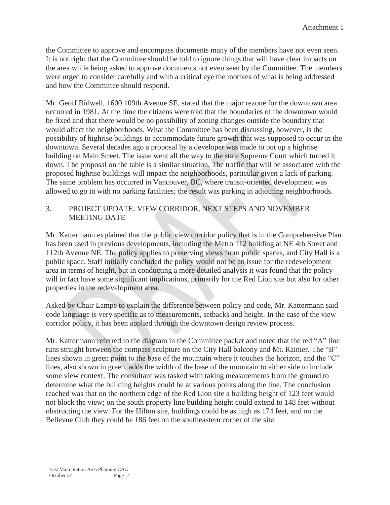the Committee to approve and encompass documents many of the members have not even seen. It is not right that the Committee should be told to ignore things that will have clear impacts on the area while being asked to approve documents not even seen by the Committee. The members were urged to consider carefully and with a critical eye the motives of what is being addressed and how the Committee should respond.

Mr. Geoff Bidwell, 1600 109th Avenue SE, stated that the major rezone for the downtown area occurred in 1981. At the time the citizens were told that the boundaries of the downtown would be fixed and that there would be no possibility of zoning changes outside the boundary that would affect the neighborhoods. What the Committee has been discussing, however, is the possibility of highrise buildings to accommodate future growth that was supposed to occur in the downtown. Several decades ago a proposal by a developer was made to put up a highrise building on Main Street. The issue went all the way to the state Supreme Court which turned it down. The proposal on the table is a similar situation. The traffic that will be associated with the proposed highrise buildings will impact the neighborhoods, particular given a lack of parking. The same problem has occurred in Vancouver, BC, where transit-oriented development was allowed to go in with no parking facilities; the result was parking in adjoining neighborhoods.

### 3. PROJECT UPDATE: VIEW CORRIDOR, NEXT STEPS AND NOVEMBER MEETING DATE

Mr. Kattermann explained that the public view corridor policy that is in the Comprehensive Plan has been used in previous developments, including the Metro 112 building at NE 4th Street and 112th Avenue NE. The policy applies to preserving views from public spaces, and City Hall is a public space. Staff initially concluded the policy would not be an issue for the redevelopment area in terms of height, but in conducting a more detailed analysis it was found that the policy will in fact have some significant implications, primarily for the Red Lion site but also for other properties in the redevelopment area.

Asked by Chair Lampe to explain the difference between policy and code, Mr. Kattermann said code language is very specific as to measurements, setbacks and height. In the case of the view corridor policy, it has been applied through the downtown design review process.

Mr. Kattermann referred to the diagram in the Committee packet and noted that the red "A" line runs straight between the compass sculpture on the City Hall balcony and Mt. Rainier. The "B" lines shown in green point to the base of the mountain where it touches the horizon, and the "C" lines, also shown in green, adds the width of the base of the mountain to either side to include some view context. The consultant was tasked with taking measurements from the ground to determine what the building heights could be at various points along the line. The conclusion reached was that on the northern edge of the Red Lion site a building height of 123 feet would not block the view; on the south property line building height could extend to 148 feet without obstructing the view. For the Hilton site, buildings could be as high as 174 feet, and on the Bellevue Club they could be 186 feet on the southeastern corner of the site.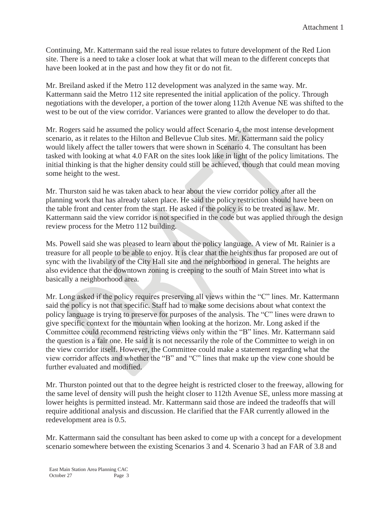Continuing, Mr. Kattermann said the real issue relates to future development of the Red Lion site. There is a need to take a closer look at what that will mean to the different concepts that have been looked at in the past and how they fit or do not fit.

Mr. Breiland asked if the Metro 112 development was analyzed in the same way. Mr. Kattermann said the Metro 112 site represented the initial application of the policy. Through negotiations with the developer, a portion of the tower along 112th Avenue NE was shifted to the west to be out of the view corridor. Variances were granted to allow the developer to do that.

Mr. Rogers said he assumed the policy would affect Scenario 4, the most intense development scenario, as it relates to the Hilton and Bellevue Club sites. Mr. Kattermann said the policy would likely affect the taller towers that were shown in Scenario 4. The consultant has been tasked with looking at what 4.0 FAR on the sites look like in light of the policy limitations. The initial thinking is that the higher density could still be achieved, though that could mean moving some height to the west.

Mr. Thurston said he was taken aback to hear about the view corridor policy after all the planning work that has already taken place. He said the policy restriction should have been on the table front and center from the start. He asked if the policy is to be treated as law. Mr. Kattermann said the view corridor is not specified in the code but was applied through the design review process for the Metro 112 building.

Ms. Powell said she was pleased to learn about the policy language. A view of Mt. Rainier is a treasure for all people to be able to enjoy. It is clear that the heights thus far proposed are out of sync with the livability of the City Hall site and the neighborhood in general. The heights are also evidence that the downtown zoning is creeping to the south of Main Street into what is basically a neighborhood area.

Mr. Long asked if the policy requires preserving all views within the "C" lines. Mr. Kattermann said the policy is not that specific. Staff had to make some decisions about what context the policy language is trying to preserve for purposes of the analysis. The "C" lines were drawn to give specific context for the mountain when looking at the horizon. Mr. Long asked if the Committee could recommend restricting views only within the "B" lines. Mr. Kattermann said the question is a fair one. He said it is not necessarily the role of the Committee to weigh in on the view corridor itself. However, the Committee could make a statement regarding what the view corridor affects and whether the "B" and "C" lines that make up the view cone should be further evaluated and modified.

Mr. Thurston pointed out that to the degree height is restricted closer to the freeway, allowing for the same level of density will push the height closer to 112th Avenue SE, unless more massing at lower heights is permitted instead. Mr. Kattermann said those are indeed the tradeoffs that will require additional analysis and discussion. He clarified that the FAR currently allowed in the redevelopment area is 0.5.

Mr. Kattermann said the consultant has been asked to come up with a concept for a development scenario somewhere between the existing Scenarios 3 and 4. Scenario 3 had an FAR of 3.8 and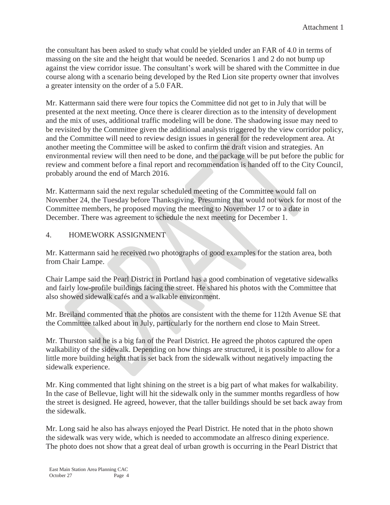the consultant has been asked to study what could be yielded under an FAR of 4.0 in terms of massing on the site and the height that would be needed. Scenarios 1 and 2 do not bump up against the view corridor issue. The consultant's work will be shared with the Committee in due course along with a scenario being developed by the Red Lion site property owner that involves a greater intensity on the order of a 5.0 FAR.

Mr. Kattermann said there were four topics the Committee did not get to in July that will be presented at the next meeting. Once there is clearer direction as to the intensity of development and the mix of uses, additional traffic modeling will be done. The shadowing issue may need to be revisited by the Committee given the additional analysis triggered by the view corridor policy, and the Committee will need to review design issues in general for the redevelopment area. At another meeting the Committee will be asked to confirm the draft vision and strategies. An environmental review will then need to be done, and the package will be put before the public for review and comment before a final report and recommendation is handed off to the City Council, probably around the end of March 2016.

Mr. Kattermann said the next regular scheduled meeting of the Committee would fall on November 24, the Tuesday before Thanksgiving. Presuming that would not work for most of the Committee members, he proposed moving the meeting to November 17 or to a date in December. There was agreement to schedule the next meeting for December 1.

#### 4. HOMEWORK ASSIGNMENT

Mr. Kattermann said he received two photographs of good examples for the station area, both from Chair Lampe.

Chair Lampe said the Pearl District in Portland has a good combination of vegetative sidewalks and fairly low-profile buildings facing the street. He shared his photos with the Committee that also showed sidewalk cafés and a walkable environment.

Mr. Breiland commented that the photos are consistent with the theme for 112th Avenue SE that the Committee talked about in July, particularly for the northern end close to Main Street.

Mr. Thurston said he is a big fan of the Pearl District. He agreed the photos captured the open walkability of the sidewalk. Depending on how things are structured, it is possible to allow for a little more building height that is set back from the sidewalk without negatively impacting the sidewalk experience.

Mr. King commented that light shining on the street is a big part of what makes for walkability. In the case of Bellevue, light will hit the sidewalk only in the summer months regardless of how the street is designed. He agreed, however, that the taller buildings should be set back away from the sidewalk.

Mr. Long said he also has always enjoyed the Pearl District. He noted that in the photo shown the sidewalk was very wide, which is needed to accommodate an alfresco dining experience. The photo does not show that a great deal of urban growth is occurring in the Pearl District that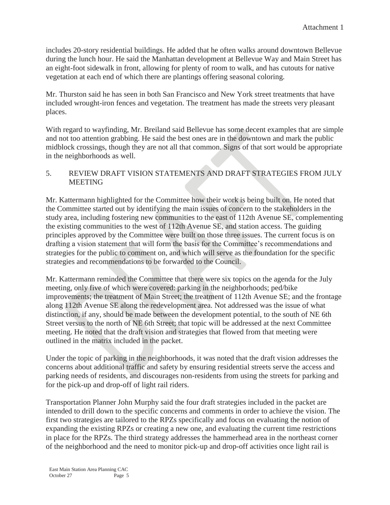includes 20-story residential buildings. He added that he often walks around downtown Bellevue during the lunch hour. He said the Manhattan development at Bellevue Way and Main Street has an eight-foot sidewalk in front, allowing for plenty of room to walk, and has cutouts for native vegetation at each end of which there are plantings offering seasonal coloring.

Mr. Thurston said he has seen in both San Francisco and New York street treatments that have included wrought-iron fences and vegetation. The treatment has made the streets very pleasant places.

With regard to wayfinding, Mr. Breiland said Bellevue has some decent examples that are simple and not too attention grabbing. He said the best ones are in the downtown and mark the public midblock crossings, though they are not all that common. Signs of that sort would be appropriate in the neighborhoods as well.

## 5. REVIEW DRAFT VISION STATEMENTS AND DRAFT STRATEGIES FROM JULY **MEETING**

Mr. Kattermann highlighted for the Committee how their work is being built on. He noted that the Committee started out by identifying the main issues of concern to the stakeholders in the study area, including fostering new communities to the east of 112th Avenue SE, complementing the existing communities to the west of 112th Avenue SE, and station access. The guiding principles approved by the Committee were built on those three issues. The current focus is on drafting a vision statement that will form the basis for the Committee's recommendations and strategies for the public to comment on, and which will serve as the foundation for the specific strategies and recommendations to be forwarded to the Council.

Mr. Kattermann reminded the Committee that there were six topics on the agenda for the July meeting, only five of which were covered: parking in the neighborhoods; ped/bike improvements; the treatment of Main Street; the treatment of 112th Avenue SE; and the frontage along 112th Avenue SE along the redevelopment area. Not addressed was the issue of what distinction, if any, should be made between the development potential, to the south of NE 6th Street versus to the north of NE 6th Street; that topic will be addressed at the next Committee meeting. He noted that the draft vision and strategies that flowed from that meeting were outlined in the matrix included in the packet.

Under the topic of parking in the neighborhoods, it was noted that the draft vision addresses the concerns about additional traffic and safety by ensuring residential streets serve the access and parking needs of residents, and discourages non-residents from using the streets for parking and for the pick-up and drop-off of light rail riders.

Transportation Planner John Murphy said the four draft strategies included in the packet are intended to drill down to the specific concerns and comments in order to achieve the vision. The first two strategies are tailored to the RPZs specifically and focus on evaluating the notion of expanding the existing RPZs or creating a new one, and evaluating the current time restrictions in place for the RPZs. The third strategy addresses the hammerhead area in the northeast corner of the neighborhood and the need to monitor pick-up and drop-off activities once light rail is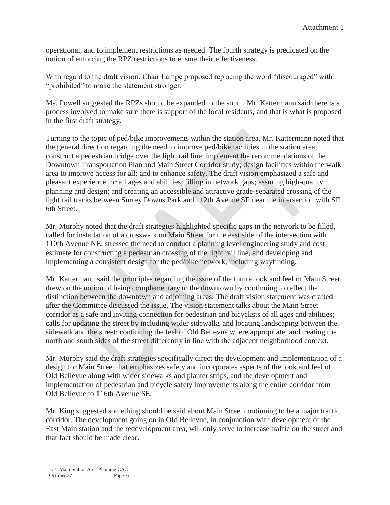operational, and to implement restrictions as needed. The fourth strategy is predicated on the notion of enforcing the RPZ restrictions to ensure their effectiveness.

With regard to the draft vision, Chair Lampe proposed replacing the word "discouraged" with "prohibited" to make the statement stronger.

Ms. Powell suggested the RPZs should be expanded to the south. Mr. Kattermann said there is a process involved to make sure there is support of the local residents, and that is what is proposed in the first draft strategy.

Turning to the topic of ped/bike improvements within the station area, Mr. Kattermann noted that the general direction regarding the need to improve ped/bike facilities in the station area; construct a pedestrian bridge over the light rail line; implement the recommendations of the Downtown Transportation Plan and Main Street Corridor study; design facilities within the walk area to improve access for all; and to enhance safety. The draft vision emphasized a safe and pleasant experience for all ages and abilities; filling in network gaps; assuring high-quality planning and design; and creating an accessible and attractive grade-separated crossing of the light rail tracks between Surrey Downs Park and 112th Avenue SE near the intersection with SE 6th Street.

Mr. Murphy noted that the draft strategies highlighted specific gaps in the network to be filled, called for installation of a crosswalk on Main Street for the east side of the intersection with 110th Avenue NE, stressed the need to conduct a planning level engineering study and cost estimate for constructing a pedestrian crossing of the light rail line, and developing and implementing a consistent design for the ped/bike network, including wayfinding.

Mr. Kattermann said the principles regarding the issue of the future look and feel of Main Street drew on the notion of being complementary to the downtown by continuing to reflect the distinction between the downtown and adjoining areas. The draft vision statement was crafted after the Committee discussed the issue. The vision statement talks about the Main Street corridor as a safe and inviting connection for pedestrian and bicyclists of all ages and abilities; calls for updating the street by including wider sidewalks and locating landscaping between the sidewalk and the street; continuing the feel of Old Bellevue where appropriate; and treating the north and south sides of the street differently in line with the adjacent neighborhood context.

Mr. Murphy said the draft strategies specifically direct the development and implementation of a design for Main Street that emphasizes safety and incorporates aspects of the look and feel of Old Bellevue along with wider sidewalks and planter strips, and the development and implementation of pedestrian and bicycle safety improvements along the entire corridor from Old Bellevue to 116th Avenue SE.

Mr. King suggested something should be said about Main Street continuing to be a major traffic corridor. The development going on in Old Bellevue, in conjunction with development of the East Main station and the redevelopment area, will only serve to increase traffic on the street and that fact should be made clear.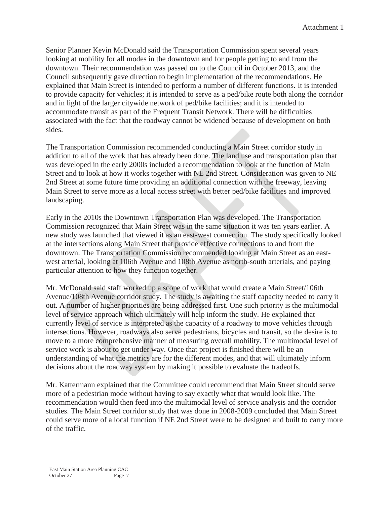Senior Planner Kevin McDonald said the Transportation Commission spent several years looking at mobility for all modes in the downtown and for people getting to and from the downtown. Their recommendation was passed on to the Council in October 2013, and the Council subsequently gave direction to begin implementation of the recommendations. He explained that Main Street is intended to perform a number of different functions. It is intended to provide capacity for vehicles; it is intended to serve as a ped/bike route both along the corridor and in light of the larger citywide network of ped/bike facilities; and it is intended to accommodate transit as part of the Frequent Transit Network. There will be difficulties associated with the fact that the roadway cannot be widened because of development on both sides.

The Transportation Commission recommended conducting a Main Street corridor study in addition to all of the work that has already been done. The land use and transportation plan that was developed in the early 2000s included a recommendation to look at the function of Main Street and to look at how it works together with NE 2nd Street. Consideration was given to NE 2nd Street at some future time providing an additional connection with the freeway, leaving Main Street to serve more as a local access street with better ped/bike facilities and improved landscaping.

Early in the 2010s the Downtown Transportation Plan was developed. The Transportation Commission recognized that Main Street was in the same situation it was ten years earlier. A new study was launched that viewed it as an east-west connection. The study specifically looked at the intersections along Main Street that provide effective connections to and from the downtown. The Transportation Commission recommended looking at Main Street as an eastwest arterial, looking at 106th Avenue and 108th Avenue as north-south arterials, and paying particular attention to how they function together.

Mr. McDonald said staff worked up a scope of work that would create a Main Street/106th Avenue/108th Avenue corridor study. The study is awaiting the staff capacity needed to carry it out. A number of higher priorities are being addressed first. One such priority is the multimodal level of service approach which ultimately will help inform the study. He explained that currently level of service is interpreted as the capacity of a roadway to move vehicles through intersections. However, roadways also serve pedestrians, bicycles and transit, so the desire is to move to a more comprehensive manner of measuring overall mobility. The multimodal level of service work is about to get under way. Once that project is finished there will be an understanding of what the metrics are for the different modes, and that will ultimately inform decisions about the roadway system by making it possible to evaluate the tradeoffs.

Mr. Kattermann explained that the Committee could recommend that Main Street should serve more of a pedestrian mode without having to say exactly what that would look like. The recommendation would then feed into the multimodal level of service analysis and the corridor studies. The Main Street corridor study that was done in 2008-2009 concluded that Main Street could serve more of a local function if NE 2nd Street were to be designed and built to carry more of the traffic.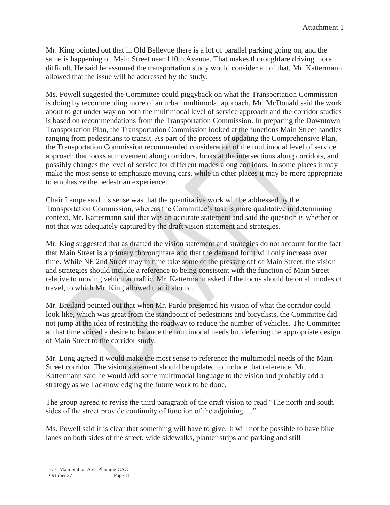Mr. King pointed out that in Old Bellevue there is a lot of parallel parking going on, and the same is happening on Main Street near 110th Avenue. That makes thoroughfare driving more difficult. He said he assumed the transportation study would consider all of that. Mr. Kattermann allowed that the issue will be addressed by the study.

Ms. Powell suggested the Committee could piggyback on what the Transportation Commission is doing by recommending more of an urban multimodal approach. Mr. McDonald said the work about to get under way on both the multimodal level of service approach and the corridor studies is based on recommendations from the Transportation Commission. In preparing the Downtown Transportation Plan, the Transportation Commission looked at the functions Main Street handles ranging from pedestrians to transit. As part of the process of updating the Comprehensive Plan, the Transportation Commission recommended consideration of the multimodal level of service approach that looks at movement along corridors, looks at the intersections along corridors, and possibly changes the level of service for different modes along corridors. In some places it may make the most sense to emphasize moving cars, while in other places it may be more appropriate to emphasize the pedestrian experience.

Chair Lampe said his sense was that the quantitative work will be addressed by the Transportation Commission, whereas the Committee's task is more qualitative in determining context. Mr. Kattermann said that was an accurate statement and said the question is whether or not that was adequately captured by the draft vision statement and strategies.

Mr. King suggested that as drafted the vision statement and strategies do not account for the fact that Main Street is a primary thoroughfare and that the demand for it will only increase over time. While NE 2nd Street may in time take some of the pressure off of Main Street, the vision and strategies should include a reference to being consistent with the function of Main Street relative to moving vehicular traffic. Mr. Kattermann asked if the focus should be on all modes of travel, to which Mr. King allowed that it should.

Mr. Breiland pointed out that when Mr. Pardo presented his vision of what the corridor could look like, which was great from the standpoint of pedestrians and bicyclists, the Committee did not jump at the idea of restricting the roadway to reduce the number of vehicles. The Committee at that time voiced a desire to balance the multimodal needs but deferring the appropriate design of Main Street to the corridor study.

Mr. Long agreed it would make the most sense to reference the multimodal needs of the Main Street corridor. The vision statement should be updated to include that reference. Mr. Kattermann said he would add some multimodal language to the vision and probably add a strategy as well acknowledging the future work to be done.

The group agreed to revise the third paragraph of the draft vision to read "The north and south sides of the street provide continuity of function of the adjoining…."

Ms. Powell said it is clear that something will have to give. It will not be possible to have bike lanes on both sides of the street, wide sidewalks, planter strips and parking and still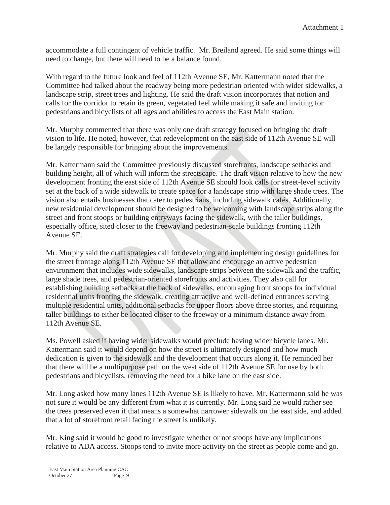accommodate a full contingent of vehicle traffic. Mr. Breiland agreed. He said some things will need to change, but there will need to be a balance found.

With regard to the future look and feel of 112th Avenue SE, Mr. Kattermann noted that the Committee had talked about the roadway being more pedestrian oriented with wider sidewalks, a landscape strip, street trees and lighting. He said the draft vision incorporates that notion and calls for the corridor to retain its green, vegetated feel while making it safe and inviting for pedestrians and bicyclists of all ages and abilities to access the East Main station.

Mr. Murphy commented that there was only one draft strategy focused on bringing the draft vision to life. He noted, however, that redevelopment on the east side of 112th Avenue SE will be largely responsible for bringing about the improvements.

Mr. Kattermann said the Committee previously discussed storefronts, landscape setbacks and building height, all of which will inform the streetscape. The draft vision relative to how the new development fronting the east side of 112th Avenue SE should look calls for street-level activity set at the back of a wide sidewalk to create space for a landscape strip with large shade trees. The vision also entails businesses that cater to pedestrians, including sidewalk cafés. Additionally, new residential development should be designed to be welcoming with landscape strips along the street and front stoops or building entryways facing the sidewalk, with the taller buildings, especially office, sited closer to the freeway and pedestrian-scale buildings fronting 112th Avenue SE.

Mr. Murphy said the draft strategies call for developing and implementing design guidelines for the street frontage along 112th Avenue SE that allow and encourage an active pedestrian environment that includes wide sidewalks, landscape strips between the sidewalk and the traffic, large shade trees, and pedestrian-oriented storefronts and activities. They also call for establishing building setbacks at the back of sidewalks, encouraging front stoops for individual residential units fronting the sidewalk, creating attractive and well-defined entrances serving multiple residential units, additional setbacks for upper floors above three stories, and requiring taller buildings to either be located closer to the freeway or a minimum distance away from 112th Avenue SE.

Ms. Powell asked if having wider sidewalks would preclude having wider bicycle lanes. Mr. Kattermann said it would depend on how the street is ultimately designed and how much dedication is given to the sidewalk and the development that occurs along it. He reminded her that there will be a multipurpose path on the west side of 112th Avenue SE for use by both pedestrians and bicyclists, removing the need for a bike lane on the east side.

Mr. Long asked how many lanes 112th Avenue SE is likely to have. Mr. Kattermann said he was not sure it would be any different from what it is currently. Mr. Long said he would rather see the trees preserved even if that means a somewhat narrower sidewalk on the east side, and added that a lot of storefront retail facing the street is unlikely.

Mr. King said it would be good to investigate whether or not stoops have any implications relative to ADA access. Stoops tend to invite more activity on the street as people come and go.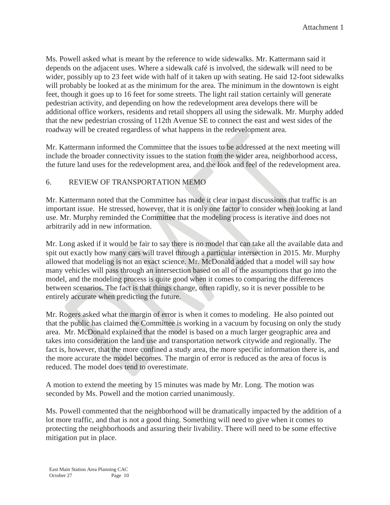Ms. Powell asked what is meant by the reference to wide sidewalks. Mr. Kattermann said it depends on the adjacent uses. Where a sidewalk café is involved, the sidewalk will need to be wider, possibly up to 23 feet wide with half of it taken up with seating. He said 12-foot sidewalks will probably be looked at as the minimum for the area. The minimum in the downtown is eight feet, though it goes up to 16 feet for some streets. The light rail station certainly will generate pedestrian activity, and depending on how the redevelopment area develops there will be additional office workers, residents and retail shoppers all using the sidewalk. Mr. Murphy added that the new pedestrian crossing of 112th Avenue SE to connect the east and west sides of the roadway will be created regardless of what happens in the redevelopment area.

Mr. Kattermann informed the Committee that the issues to be addressed at the next meeting will include the broader connectivity issues to the station from the wider area, neighborhood access, the future land uses for the redevelopment area, and the look and feel of the redevelopment area.

# 6. REVIEW OF TRANSPORTATION MEMO

Mr. Kattermann noted that the Committee has made it clear in past discussions that traffic is an important issue. He stressed, however, that it is only one factor to consider when looking at land use. Mr. Murphy reminded the Committee that the modeling process is iterative and does not arbitrarily add in new information.

Mr. Long asked if it would be fair to say there is no model that can take all the available data and spit out exactly how many cars will travel through a particular intersection in 2015. Mr. Murphy allowed that modeling is not an exact science. Mr. McDonald added that a model will say how many vehicles will pass through an intersection based on all of the assumptions that go into the model, and the modeling process is quite good when it comes to comparing the differences between scenarios. The fact is that things change, often rapidly, so it is never possible to be entirely accurate when predicting the future.

Mr. Rogers asked what the margin of error is when it comes to modeling. He also pointed out that the public has claimed the Committee is working in a vacuum by focusing on only the study area. Mr. McDonald explained that the model is based on a much larger geographic area and takes into consideration the land use and transportation network citywide and regionally. The fact is, however, that the more confined a study area, the more specific information there is, and the more accurate the model becomes. The margin of error is reduced as the area of focus is reduced. The model does tend to overestimate.

A motion to extend the meeting by 15 minutes was made by Mr. Long. The motion was seconded by Ms. Powell and the motion carried unanimously.

Ms. Powell commented that the neighborhood will be dramatically impacted by the addition of a lot more traffic, and that is not a good thing. Something will need to give when it comes to protecting the neighborhoods and assuring their livability. There will need to be some effective mitigation put in place.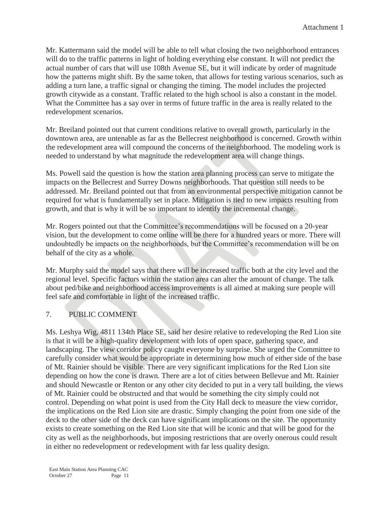Mr. Kattermann said the model will be able to tell what closing the two neighborhood entrances will do to the traffic patterns in light of holding everything else constant. It will not predict the actual number of cars that will use 108th Avenue SE, but it will indicate by order of magnitude how the patterns might shift. By the same token, that allows for testing various scenarios, such as adding a turn lane, a traffic signal or changing the timing. The model includes the projected growth citywide as a constant. Traffic related to the high school is also a constant in the model. What the Committee has a say over in terms of future traffic in the area is really related to the redevelopment scenarios.

Mr. Breiland pointed out that current conditions relative to overall growth, particularly in the downtown area, are untenable as far as the Bellecrest neighborhood is concerned. Growth within the redevelopment area will compound the concerns of the neighborhood. The modeling work is needed to understand by what magnitude the redevelopment area will change things.

Ms. Powell said the question is how the station area planning process can serve to mitigate the impacts on the Bellecrest and Surrey Downs neighborhoods. That question still needs to be addressed. Mr. Breiland pointed out that from an environmental perspective mitigation cannot be required for what is fundamentally set in place. Mitigation is tied to new impacts resulting from growth, and that is why it will be so important to identify the incremental change.

Mr. Rogers pointed out that the Committee's recommendations will be focused on a 20-year vision, but the development to come online will be there for a hundred years or more. There will undoubtedly be impacts on the neighborhoods, but the Committee's recommendation will be on behalf of the city as a whole.

Mr. Murphy said the model says that there will be increased traffic both at the city level and the regional level. Specific factors within the station area can alter the amount of change. The talk about ped/bike and neighborhood access improvements is all aimed at making sure people will feel safe and comfortable in light of the increased traffic.

# 7. PUBLIC COMMENT

Ms. Leshya Wig, 4811 134th Place SE, said her desire relative to redeveloping the Red Lion site is that it will be a high-quality development with lots of open space, gathering space, and landscaping. The view corridor policy caught everyone by surprise. She urged the Committee to carefully consider what would be appropriate in determining how much of either side of the base of Mt. Rainier should be visible. There are very significant implications for the Red Lion site depending on how the cone is drawn. There are a lot of cities between Bellevue and Mt. Rainier and should Newcastle or Renton or any other city decided to put in a very tall building, the views of Mt. Rainier could be obstructed and that would be something the city simply could not control. Depending on what point is used from the City Hall deck to measure the view corridor, the implications on the Red Lion site are drastic. Simply changing the point from one side of the deck to the other side of the deck can have significant implications on the site. The opportunity exists to create something on the Red Lion site that will be iconic and that will be good for the city as well as the neighborhoods, but imposing restrictions that are overly onerous could result in either no redevelopment or redevelopment with far less quality design.